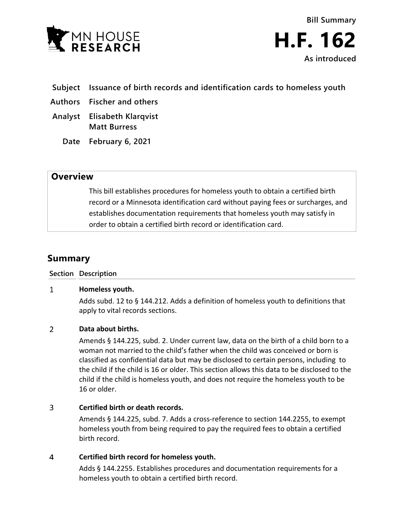



- **Subject Issuance of birth records and identification cards to homeless youth**
- **Authors Fischer and others**
- **Analyst Elisabeth Klarqvist Matt Burress**
	- **Date February 6, 2021**

# **Overview**

This bill establishes procedures for homeless youth to obtain a certified birth record or a Minnesota identification card without paying fees or surcharges, and establishes documentation requirements that homeless youth may satisfy in order to obtain a certified birth record or identification card.

# **Summary**

### **Section Description**

#### $\mathbf{1}$ **Homeless youth.**

Adds subd. 12 to § 144.212. Adds a definition of homeless youth to definitions that apply to vital records sections.

#### $\overline{2}$ **Data about births.**

Amends § 144.225, subd. 2. Under current law, data on the birth of a child born to a woman not married to the child's father when the child was conceived or born is classified as confidential data but may be disclosed to certain persons, including to the child if the child is 16 or older. This section allows this data to be disclosed to the child if the child is homeless youth, and does not require the homeless youth to be 16 or older.

### $\overline{3}$ **Certified birth or death records.**

Amends § 144.225, subd. 7. Adds a cross-reference to section 144.2255, to exempt homeless youth from being required to pay the required fees to obtain a certified birth record.

### $\overline{4}$ **Certified birth record for homeless youth.**

Adds § 144.2255. Establishes procedures and documentation requirements for a homeless youth to obtain a certified birth record.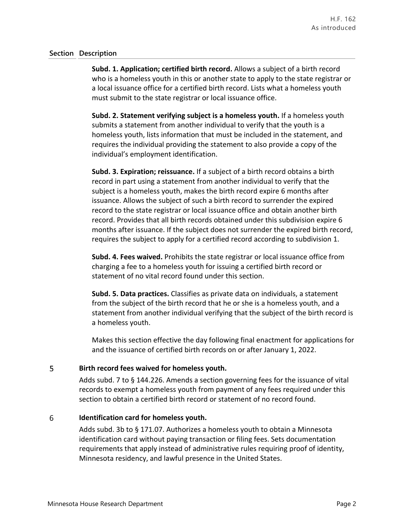## **Section Description**

**Subd. 1. Application; certified birth record.** Allows a subject of a birth record who is a homeless youth in this or another state to apply to the state registrar or a local issuance office for a certified birth record. Lists what a homeless youth must submit to the state registrar or local issuance office.

**Subd. 2. Statement verifying subject is a homeless youth.** If a homeless youth submits a statement from another individual to verify that the youth is a homeless youth, lists information that must be included in the statement, and requires the individual providing the statement to also provide a copy of the individual's employment identification.

**Subd. 3. Expiration; reissuance.** If a subject of a birth record obtains a birth record in part using a statement from another individual to verify that the subject is a homeless youth, makes the birth record expire 6 months after issuance. Allows the subject of such a birth record to surrender the expired record to the state registrar or local issuance office and obtain another birth record. Provides that all birth records obtained under this subdivision expire 6 months after issuance. If the subject does not surrender the expired birth record, requires the subject to apply for a certified record according to subdivision 1.

**Subd. 4. Fees waived.** Prohibits the state registrar or local issuance office from charging a fee to a homeless youth for issuing a certified birth record or statement of no vital record found under this section.

**Subd. 5. Data practices.** Classifies as private data on individuals, a statement from the subject of the birth record that he or she is a homeless youth, and a statement from another individual verifying that the subject of the birth record is a homeless youth.

Makes this section effective the day following final enactment for applications for and the issuance of certified birth records on or after January 1, 2022.

#### 5 **Birth record fees waived for homeless youth.**

Adds subd. 7 to § 144.226. Amends a section governing fees for the issuance of vital records to exempt a homeless youth from payment of any fees required under this section to obtain a certified birth record or statement of no record found.

#### 6 **Identification card for homeless youth.**

Adds subd. 3b to § 171.07. Authorizes a homeless youth to obtain a Minnesota identification card without paying transaction or filing fees. Sets documentation requirements that apply instead of administrative rules requiring proof of identity, Minnesota residency, and lawful presence in the United States.